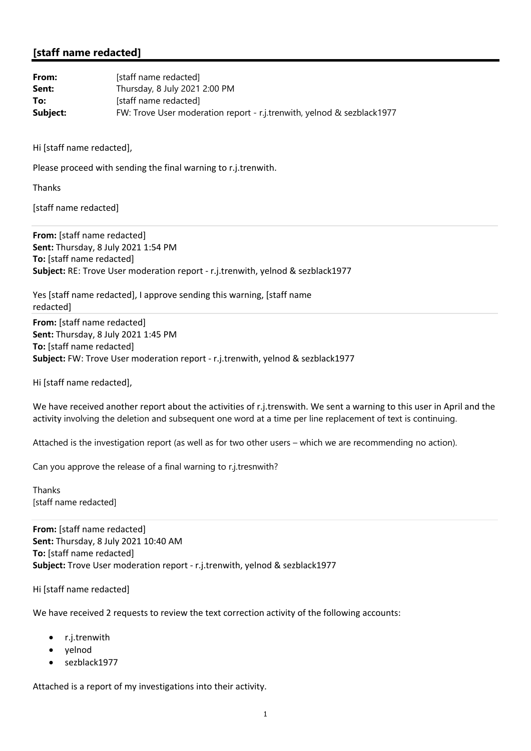## **[staff name redacted]**

| From:    | [staff name redacted]                                                  |
|----------|------------------------------------------------------------------------|
| Sent:    | Thursday, 8 July 2021 2:00 PM                                          |
| To:      | [staff name redacted]                                                  |
| Subject: | FW: Trove User moderation report - r.j.trenwith, yelnod & sezblack1977 |

Hi [staff name redacted],

Please proceed with sending the final warning to r.j.trenwith.

Thanks

[staff name redacted]

**From:** [staff name redacted] **Sent:** Thursday, 8 July 2021 1:54 PM **To:** [staff name redacted] **Subject:** RE: Trove User moderation report ‐ r.j.trenwith, yelnod & sezblack1977

Yes [staff name redacted], I approve sending this warning, [staff name redacted]

**From:** [staff name redacted] **Sent:** Thursday, 8 July 2021 1:45 PM **To:** [staff name redacted] **Subject:** FW: Trove User moderation report ‐ r.j.trenwith, yelnod & sezblack1977

Hi [staff name redacted],

We have received another report about the activities of r.j.trenswith. We sent a warning to this user in April and the activity involving the deletion and subsequent one word at a time per line replacement of text is continuing.

Attached is the investigation report (as well as for two other users – which we are recommending no action).

Can you approve the release of a final warning to r.j.tresnwith?

Thanks [staff name redacted]

**From:** [staff name redacted] **Sent:** Thursday, 8 July 2021 10:40 AM **To:** [staff name redacted] **Subject:** Trove User moderation report ‐ r.j.trenwith, yelnod & sezblack1977

Hi [staff name redacted]

We have received 2 requests to review the text correction activity of the following accounts:

- r.j.trenwith
- yelnod
- sezblack1977

Attached is a report of my investigations into their activity.